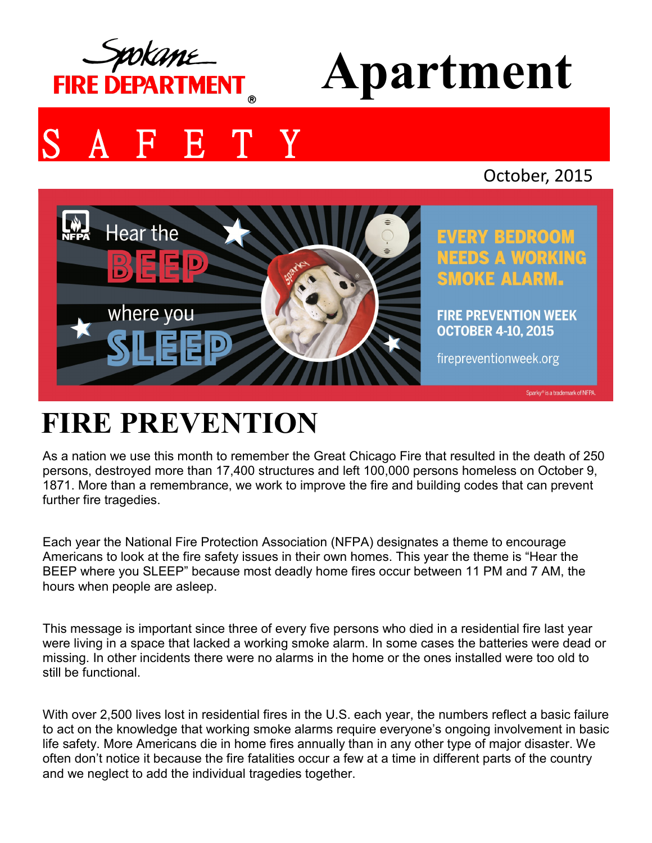

# **Apartment**

## **FETY**

### October, 2015



**EVERY BEDROOM NEEDS A WORKING SMOKE ALARM.** 

**FIRE PREVENTION WEEK OCTOBER 4-10, 2015** 

firepreventionweek.org

Sparky® is a trademark of NFPA

### **FIRE PREVENTION**

As a nation we use this month to remember the Great Chicago Fire that resulted in the death of 250 persons, destroyed more than 17,400 structures and left 100,000 persons homeless on October 9, 1871. More than a remembrance, we work to improve the fire and building codes that can prevent further fire tragedies.

Each year the National Fire Protection Association (NFPA) designates a theme to encourage Americans to look at the fire safety issues in their own homes. This year the theme is "Hear the BEEP where you SLEEP" because most deadly home fires occur between 11 PM and 7 AM, the hours when people are asleep.

This message is important since three of every five persons who died in a residential fire last year were living in a space that lacked a working smoke alarm. In some cases the batteries were dead or missing. In other incidents there were no alarms in the home or the ones installed were too old to still be functional.

With over 2,500 lives lost in residential fires in the U.S. each year, the numbers reflect a basic failure to act on the knowledge that working smoke alarms require everyone's ongoing involvement in basic life safety. More Americans die in home fires annually than in any other type of major disaster. We often don't notice it because the fire fatalities occur a few at a time in different parts of the country and we neglect to add the individual tragedies together.